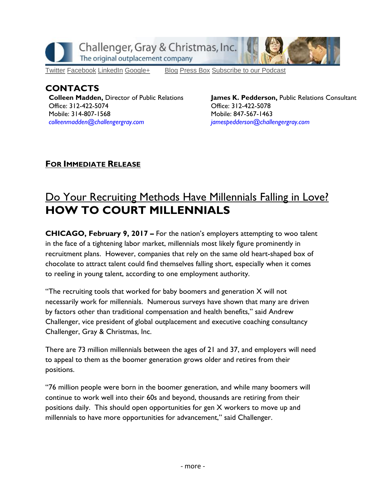

[Twitter](https://twitter.com/#!/ChallengerGray) [Facebook](https://www.facebook.com/ChallengerGray) [LinkedIn](http://www.linkedin.com/company/28264?trk=tyah) [Google+](https://plus.google.com/b/114363499979264115698/114363499979264115698) [Blog](http://www.challengergray.com/press/blog) [Press](http://www.challengergray.com/press/press-releases) Box [Subscribe](https://itunes.apple.com/us/podcast/challenger-podcast-hr-passport/id1155541697?mt=2) to our Podcast

## **CONTACTS Colleen Madden,** Director of Public Relations Office: 312-422-5074 Mobile: 314-807-1568 *[colleenmadden@challengergray.com](mailto:colleenmadden@challengergray.com)*

**James K. Pedderson,** Public Relations Consultant Office: 312-422-5078 Mobile: 847-567-1463 *[jamespedderson@challengergray.com](mailto:jamespedderson@challengergray.com)*

## **FOR IMMEDIATE RELEASE**

## Do Your Recruiting Methods Have Millennials Falling in Love? **HOW TO COURT MILLENNIALS**

**CHICAGO, February 9, 2017 –** For the nation's employers attempting to woo talent in the face of a tightening labor market, millennials most likely figure prominently in recruitment plans. However, companies that rely on the same old heart-shaped box of chocolate to attract talent could find themselves falling short, especially when it comes to reeling in young talent, according to one employment authority.

"The recruiting tools that worked for baby boomers and generation X will not necessarily work for millennials. Numerous surveys have shown that many are driven by factors other than traditional compensation and health benefits," said Andrew Challenger, vice president of global outplacement and executive coaching consultancy Challenger, Gray & Christmas, Inc.

There are 73 million millennials between the ages of 21 and 37, and employers will need to appeal to them as the boomer generation grows older and retires from their positions.

"76 million people were born in the boomer generation, and while many boomers will continue to work well into their 60s and beyond, thousands are retiring from their positions daily. This should open opportunities for gen X workers to move up and millennials to have more opportunities for advancement," said Challenger.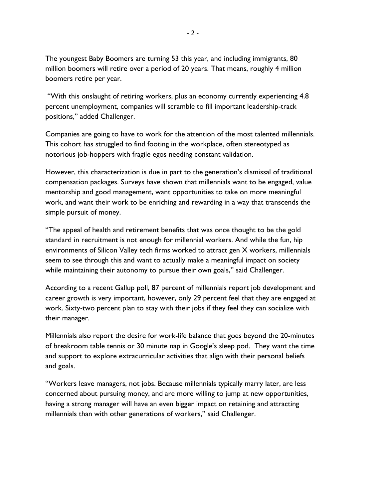The youngest Baby Boomers are turning 53 this year, and including immigrants, 80 million boomers will retire over a period of 20 years. That means, roughly 4 million boomers retire per year.

"With this onslaught of retiring workers, plus an economy currently experiencing 4.8 percent unemployment, companies will scramble to fill important leadership-track positions," added Challenger.

Companies are going to have to work for the attention of the most talented millennials. This cohort has struggled to find footing in the workplace, often stereotyped as notorious job-hoppers with fragile egos needing constant validation.

However, this characterization is due in part to the generation's dismissal of traditional compensation packages. Surveys have shown that millennials want to be engaged, value mentorship and good management, want opportunities to take on more meaningful work, and want their work to be enriching and rewarding in a way that transcends the simple pursuit of money.

"The appeal of health and retirement benefits that was once thought to be the gold standard in recruitment is not enough for millennial workers. And while the fun, hip environments of Silicon Valley tech firms worked to attract gen X workers, millennials seem to see through this and want to actually make a meaningful impact on society while maintaining their autonomy to pursue their own goals," said Challenger.

According to a recent Gallup poll, 87 percent of millennials report job development and career growth is very important, however, only 29 percent feel that they are engaged at work. Sixty-two percent plan to stay with their jobs if they feel they can socialize with their manager.

Millennials also report the desire for work-life balance that goes beyond the 20-minutes of breakroom table tennis or 30 minute nap in Google's sleep pod. They want the time and support to explore extracurricular activities that align with their personal beliefs and goals.

"Workers leave managers, not jobs. Because millennials typically marry later, are less concerned about pursuing money, and are more willing to jump at new opportunities, having a strong manager will have an even bigger impact on retaining and attracting millennials than with other generations of workers," said Challenger.